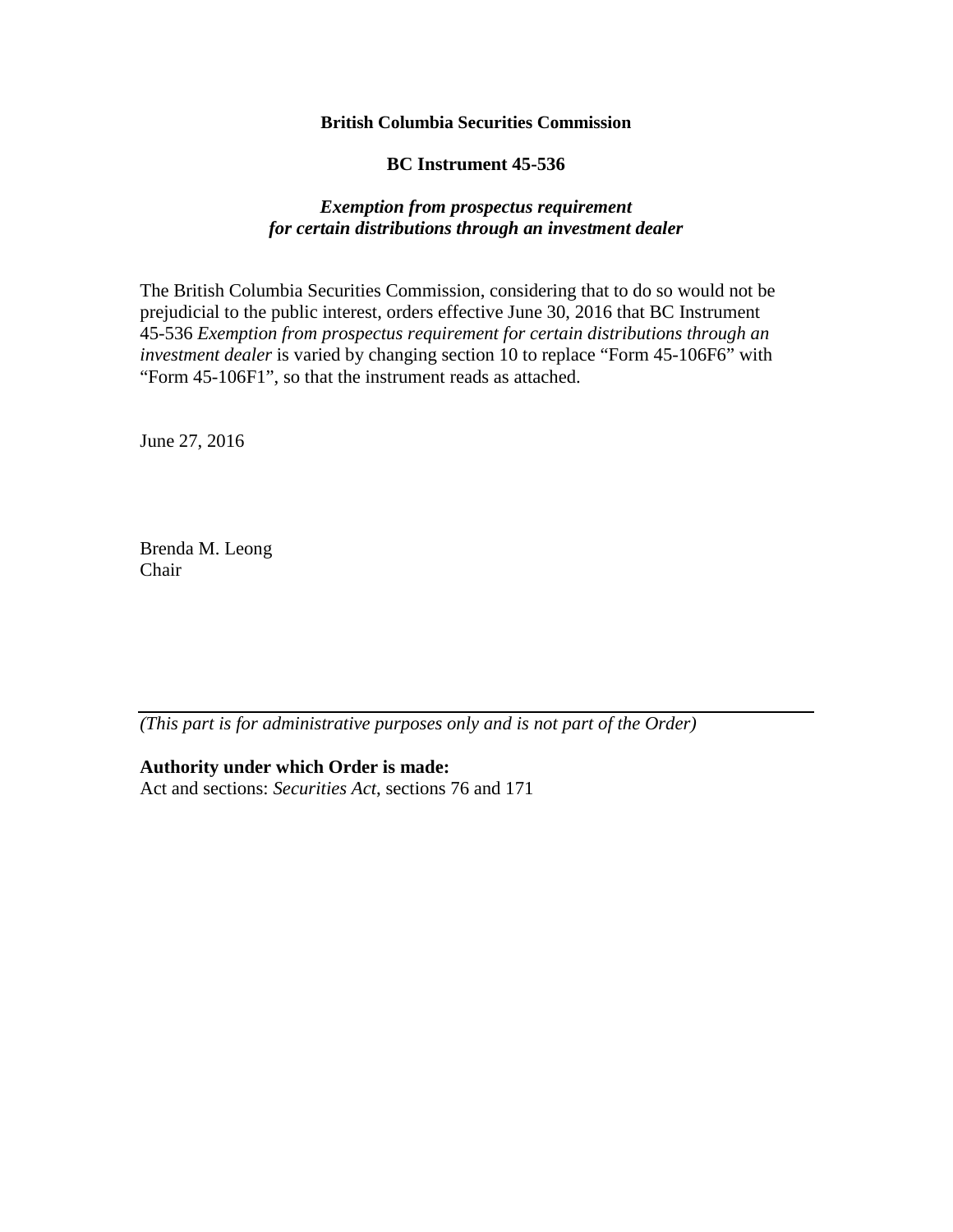#### **British Columbia Securities Commission**

#### **BC Instrument 45-536**

#### *Exemption from prospectus requirement for certain distributions through an investment dealer*

The British Columbia Securities Commission, considering that to do so would not be prejudicial to the public interest, orders effective June 30, 2016 that BC Instrument 45-536 *Exemption from prospectus requirement for certain distributions through an investment dealer* is varied by changing section 10 to replace "Form 45-106F6" with "Form 45-106F1", so that the instrument reads as attached.

June 27, 2016

Brenda M. Leong Chair

*(This part is for administrative purposes only and is not part of the Order)* 

**Authority under which Order is made:**

Act and sections: *Securities Act*, sections 76 and 171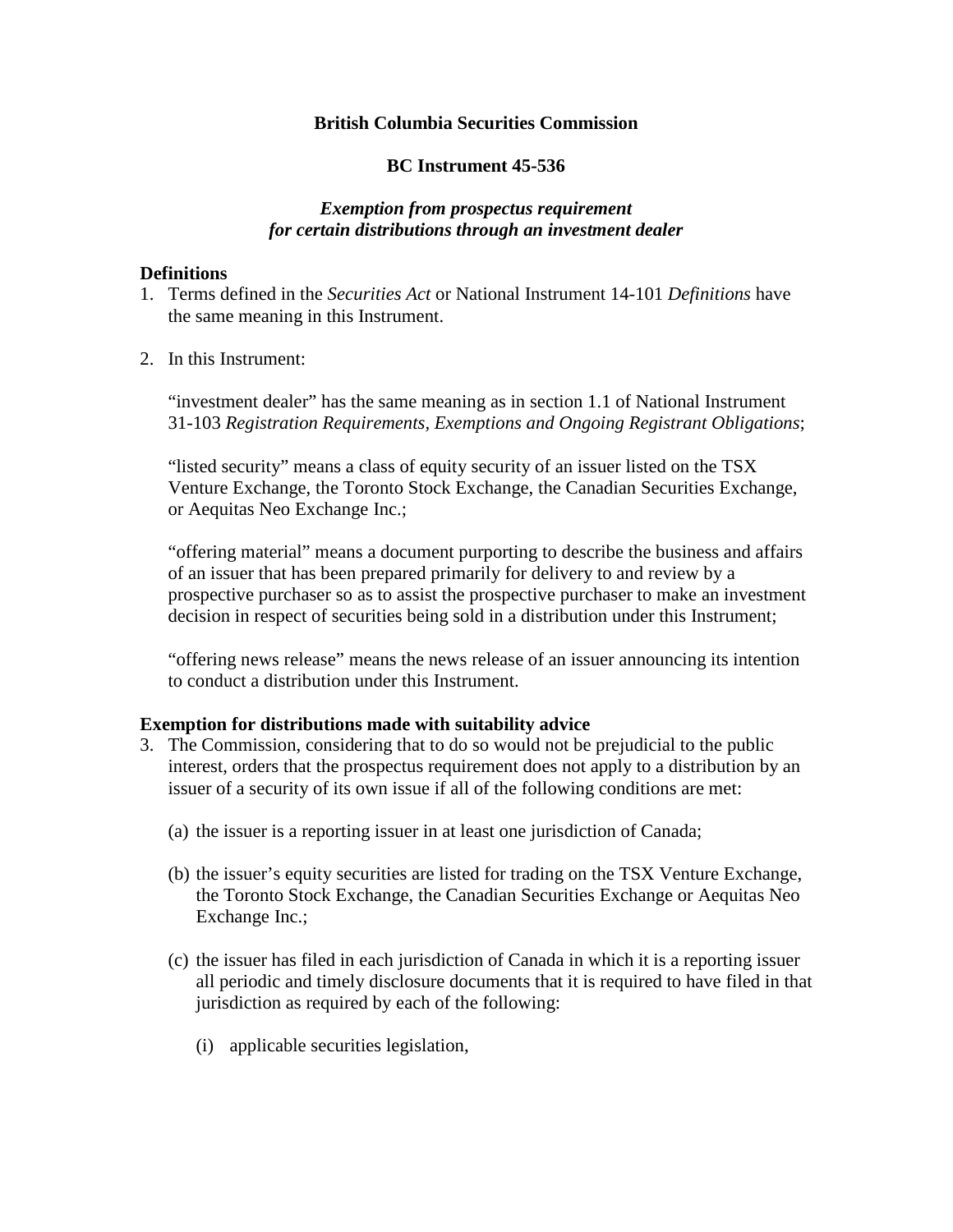### **British Columbia Securities Commission**

## **BC Instrument 45-536**

## *Exemption from prospectus requirement for certain distributions through an investment dealer*

### **Definitions**

- 1. Terms defined in the *Securities Act* or National Instrument 14-101 *Definitions* have the same meaning in this Instrument.
- 2. In this Instrument:

"investment dealer" has the same meaning as in section 1.1 of National Instrument 31-103 *Registration Requirements, Exemptions and Ongoing Registrant Obligations*;

"listed security" means a class of equity security of an issuer listed on the TSX Venture Exchange, the Toronto Stock Exchange, the Canadian Securities Exchange, or Aequitas Neo Exchange Inc.;

"offering material" means a document purporting to describe the business and affairs of an issuer that has been prepared primarily for delivery to and review by a prospective purchaser so as to assist the prospective purchaser to make an investment decision in respect of securities being sold in a distribution under this Instrument;

"offering news release" means the news release of an issuer announcing its intention to conduct a distribution under this Instrument.

### **Exemption for distributions made with suitability advice**

- 3. The Commission, considering that to do so would not be prejudicial to the public interest, orders that the prospectus requirement does not apply to a distribution by an issuer of a security of its own issue if all of the following conditions are met:
	- (a) the issuer is a reporting issuer in at least one jurisdiction of Canada;
	- (b) the issuer's equity securities are listed for trading on the TSX Venture Exchange, the Toronto Stock Exchange, the Canadian Securities Exchange or Aequitas Neo Exchange Inc.;
	- (c) the issuer has filed in each jurisdiction of Canada in which it is a reporting issuer all periodic and timely disclosure documents that it is required to have filed in that jurisdiction as required by each of the following:
		- (i) applicable securities legislation,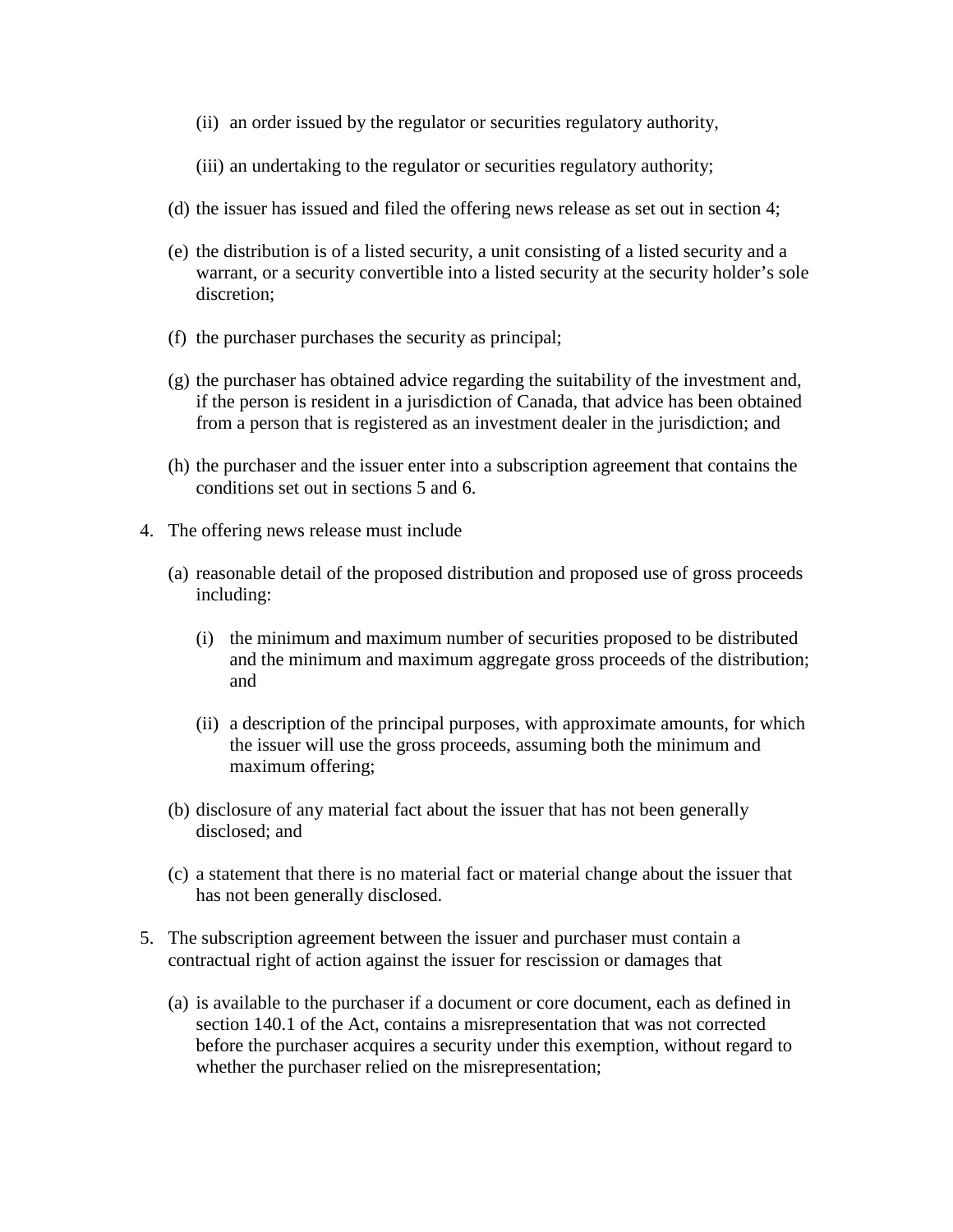- (ii) an order issued by the regulator or securities regulatory authority,
- (iii) an undertaking to the regulator or securities regulatory authority;
- (d) the issuer has issued and filed the offering news release as set out in section 4;
- (e) the distribution is of a listed security, a unit consisting of a listed security and a warrant, or a security convertible into a listed security at the security holder's sole discretion;
- (f) the purchaser purchases the security as principal;
- (g) the purchaser has obtained advice regarding the suitability of the investment and, if the person is resident in a jurisdiction of Canada, that advice has been obtained from a person that is registered as an investment dealer in the jurisdiction; and
- (h) the purchaser and the issuer enter into a subscription agreement that contains the conditions set out in sections 5 and 6.
- 4. The offering news release must include
	- (a) reasonable detail of the proposed distribution and proposed use of gross proceeds including:
		- (i) the minimum and maximum number of securities proposed to be distributed and the minimum and maximum aggregate gross proceeds of the distribution; and
		- (ii) a description of the principal purposes, with approximate amounts, for which the issuer will use the gross proceeds, assuming both the minimum and maximum offering;
	- (b) disclosure of any material fact about the issuer that has not been generally disclosed; and
	- (c) a statement that there is no material fact or material change about the issuer that has not been generally disclosed.
- 5. The subscription agreement between the issuer and purchaser must contain a contractual right of action against the issuer for rescission or damages that
	- (a) is available to the purchaser if a document or core document, each as defined in section 140.1 of the Act, contains a misrepresentation that was not corrected before the purchaser acquires a security under this exemption, without regard to whether the purchaser relied on the misrepresentation;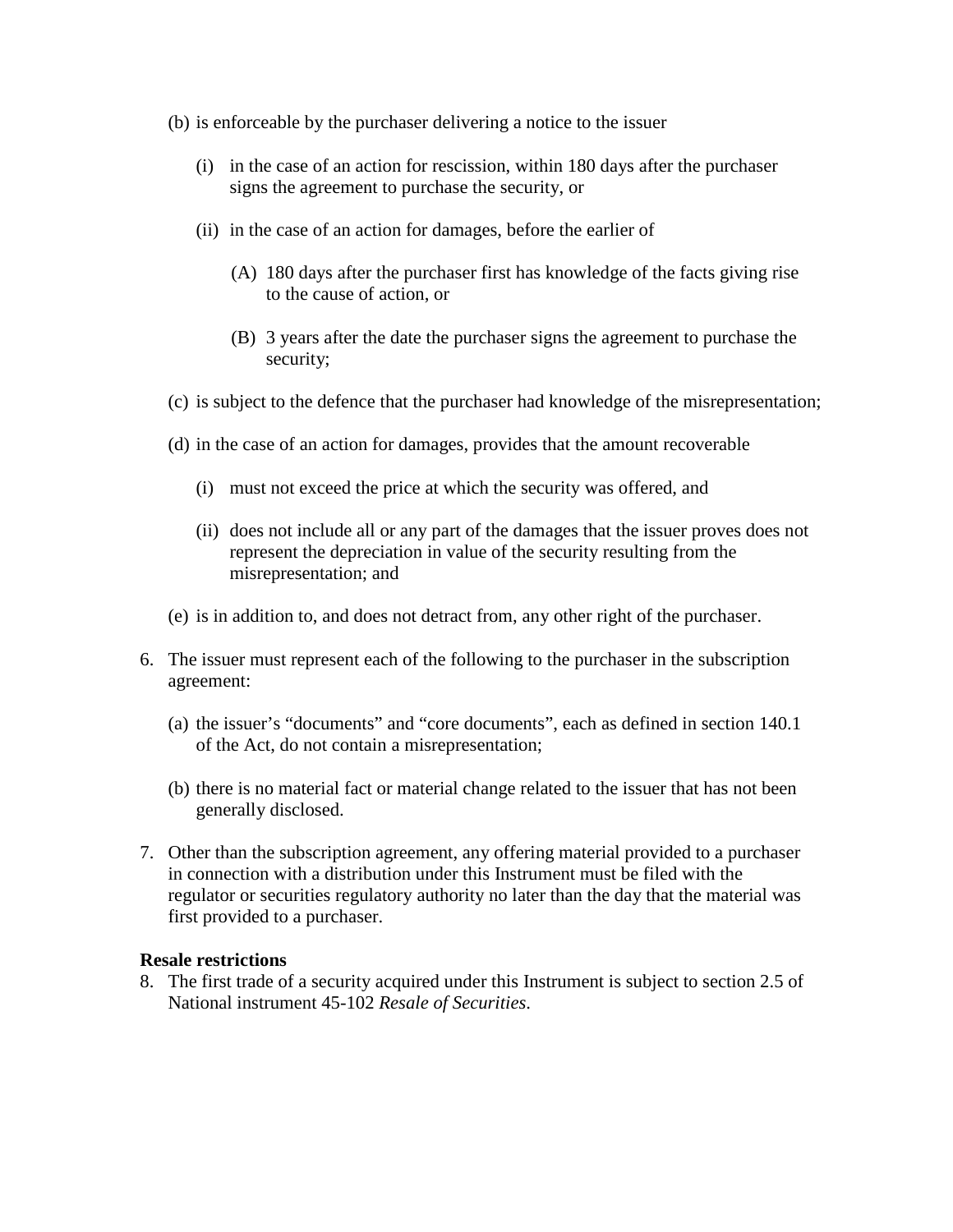- (b) is enforceable by the purchaser delivering a notice to the issuer
	- (i) in the case of an action for rescission, within 180 days after the purchaser signs the agreement to purchase the security, or
	- (ii) in the case of an action for damages, before the earlier of
		- (A) 180 days after the purchaser first has knowledge of the facts giving rise to the cause of action, or
		- (B) 3 years after the date the purchaser signs the agreement to purchase the security;
- (c) is subject to the defence that the purchaser had knowledge of the misrepresentation;
- (d) in the case of an action for damages, provides that the amount recoverable
	- (i) must not exceed the price at which the security was offered, and
	- (ii) does not include all or any part of the damages that the issuer proves does not represent the depreciation in value of the security resulting from the misrepresentation; and
- (e) is in addition to, and does not detract from, any other right of the purchaser.
- 6. The issuer must represent each of the following to the purchaser in the subscription agreement:
	- (a) the issuer's "documents" and "core documents", each as defined in section 140.1 of the Act, do not contain a misrepresentation;
	- (b) there is no material fact or material change related to the issuer that has not been generally disclosed.
- 7. Other than the subscription agreement, any offering material provided to a purchaser in connection with a distribution under this Instrument must be filed with the regulator or securities regulatory authority no later than the day that the material was first provided to a purchaser.

#### **Resale restrictions**

8. The first trade of a security acquired under this Instrument is subject to section 2.5 of National instrument 45-102 *Resale of Securities*.